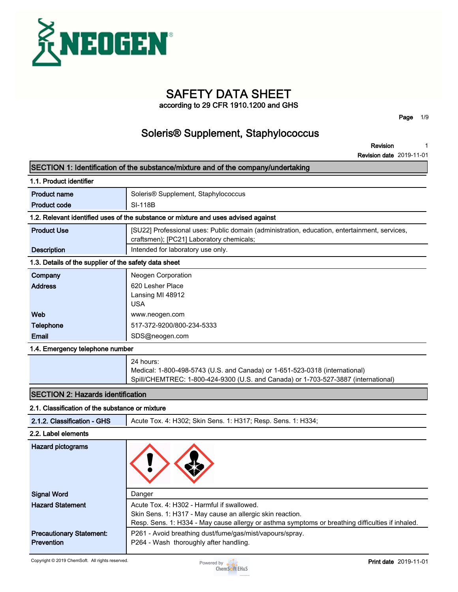

# **SAFETY DATA SHEET**

**according to 29 CFR 1910.1200 and GHS**

**Page 1/9**

## **Soleris® Supplement, Staphylococcus**

**Revision Revision date 2019-11-01 1**

|                                                       | SECTION 1: Identification of the substance/mixture and of the company/undertaking                                                                                              |
|-------------------------------------------------------|--------------------------------------------------------------------------------------------------------------------------------------------------------------------------------|
| 1.1. Product identifier                               |                                                                                                                                                                                |
| <b>Product name</b>                                   | Soleris <sup>®</sup> Supplement, Staphylococcus                                                                                                                                |
| <b>Product code</b>                                   | <b>SI-118B</b>                                                                                                                                                                 |
|                                                       | 1.2. Relevant identified uses of the substance or mixture and uses advised against                                                                                             |
| <b>Product Use</b>                                    | [SU22] Professional uses: Public domain (administration, education, entertainment, services,<br>craftsmen); [PC21] Laboratory chemicals;                                       |
| <b>Description</b>                                    | Intended for laboratory use only.                                                                                                                                              |
| 1.3. Details of the supplier of the safety data sheet |                                                                                                                                                                                |
| Company                                               | Neogen Corporation                                                                                                                                                             |
| <b>Address</b>                                        | 620 Lesher Place<br>Lansing MI 48912<br><b>USA</b>                                                                                                                             |
| Web                                                   | www.neogen.com                                                                                                                                                                 |
| <b>Telephone</b>                                      | 517-372-9200/800-234-5333                                                                                                                                                      |
| Email                                                 | SDS@neogen.com                                                                                                                                                                 |
| 1.4. Emergency telephone number                       |                                                                                                                                                                                |
|                                                       | 24 hours:<br>Medical: 1-800-498-5743 (U.S. and Canada) or 1-651-523-0318 (international)<br>Spill/CHEMTREC: 1-800-424-9300 (U.S. and Canada) or 1-703-527-3887 (international) |

## **SECTION 2: Hazards identification**

### **2.1. Classification of the substance or mixture**

| 2.1.2. Classification - GHS     | Acute Tox. 4: H302; Skin Sens. 1: H317; Resp. Sens. 1: H334;                                     |
|---------------------------------|--------------------------------------------------------------------------------------------------|
| 2.2. Label elements             |                                                                                                  |
| Hazard pictograms               |                                                                                                  |
| <b>Signal Word</b>              | Danger                                                                                           |
| <b>Hazard Statement</b>         | Acute Tox, 4: H302 - Harmful if swallowed.                                                       |
|                                 | Skin Sens. 1: H317 - May cause an allergic skin reaction.                                        |
|                                 | Resp. Sens. 1: H334 - May cause allergy or asthma symptoms or breathing difficulties if inhaled. |
| <b>Precautionary Statement:</b> | P261 - Avoid breathing dust/fume/gas/mist/vapours/spray.                                         |
| <b>Prevention</b>               | P264 - Wash thoroughly after handling.                                                           |

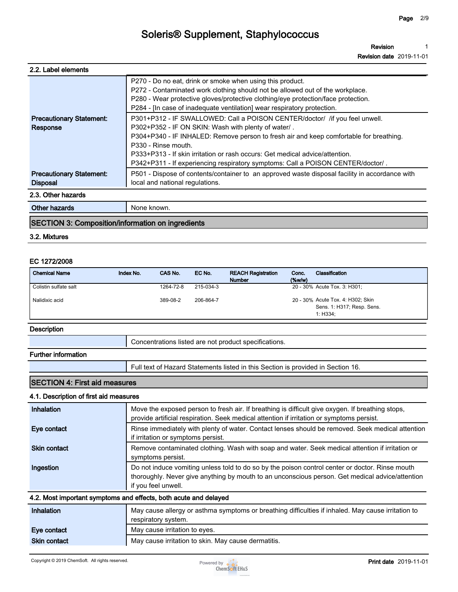**Revision 1**

**Revision date 2019-11-01**

## **2.2. Label elements**

|                                 | P270 - Do no eat, drink or smoke when using this product.                                      |
|---------------------------------|------------------------------------------------------------------------------------------------|
|                                 | P272 - Contaminated work clothing should not be allowed out of the workplace.                  |
|                                 | P280 - Wear protective gloves/protective clothing/eye protection/face protection.              |
|                                 | P284 - [In case of inadequate ventilation] wear respiratory protection.                        |
| <b>Precautionary Statement:</b> | P301+P312 - IF SWALLOWED: Call a POISON CENTER/doctor/ /if you feel unwell.                    |
| Response                        | P302+P352 - IF ON SKIN: Wash with plenty of water/.                                            |
|                                 | P304+P340 - IF INHALED: Remove person to fresh air and keep comfortable for breathing.         |
|                                 | P330 - Rinse mouth.                                                                            |
|                                 | P333+P313 - If skin irritation or rash occurs: Get medical advice/attention.                   |
|                                 | P342+P311 - If experiencing respiratory symptoms: Call a POISON CENTER/doctor/.                |
| <b>Precautionary Statement:</b> | P501 - Dispose of contents/container to an approved waste disposal facility in accordance with |
| <b>Disposal</b>                 | local and national regulations.                                                                |
| 2.3. Other hazards              |                                                                                                |

**Other hazards None known.** 

## **SECTION 3: Composition/information on ingredients**

#### **3.2. Mixtures**

#### **EC 1272/2008**

| Colistin sulfate salt<br>20 - 30% Acute Tox. 3: H301;<br>1264-72-8<br>215-034-3<br>20 - 30% Acute Tox. 4: H302; Skin<br>Nalidixic acid<br>389-08-2<br>206-864-7<br>Sens. 1: H317; Resp. Sens.<br>1: H334: | <b>Chemical Name</b> | Index No. | CAS No. | EC No. | <b>REACH Registration</b><br><b>Number</b> | Conc.<br>$($ %w/w $)$ | Classification |
|-----------------------------------------------------------------------------------------------------------------------------------------------------------------------------------------------------------|----------------------|-----------|---------|--------|--------------------------------------------|-----------------------|----------------|
|                                                                                                                                                                                                           |                      |           |         |        |                                            |                       |                |
|                                                                                                                                                                                                           |                      |           |         |        |                                            |                       |                |

### **Description**

**Concentrations listed are not product specifications.**

## **Further information**

**Full text of Hazard Statements listed in this Section is provided in Section 16.**

### **SECTION 4: First aid measures**

#### **4.1. Description of first aid measures**

| <b>Inhalation</b>   | Move the exposed person to fresh air. If breathing is difficult give oxygen. If breathing stops,<br>provide artificial respiration. Seek medical attention if irritation or symptoms persist.                             |
|---------------------|---------------------------------------------------------------------------------------------------------------------------------------------------------------------------------------------------------------------------|
| Eye contact         | Rinse immediately with plenty of water. Contact lenses should be removed. Seek medical attention<br>if irritation or symptoms persist.                                                                                    |
| <b>Skin contact</b> | Remove contaminated clothing. Wash with soap and water. Seek medical attention if irritation or<br>symptoms persist.                                                                                                      |
| Ingestion           | Do not induce vomiting unless told to do so by the poison control center or doctor. Rinse mouth<br>thoroughly. Never give anything by mouth to an unconscious person. Get medical advice/attention<br>if you feel unwell. |
|                     | 4.2. Most important symptoms and effects, both acute and delayed                                                                                                                                                          |
| Inhalation          | May cause allergy or asthma symptoms or breathing difficulties if inhaled. May cause irritation to<br>respiratory system.                                                                                                 |
| Eye contact         | May cause irritation to eyes.                                                                                                                                                                                             |
| <b>Skin contact</b> | May cause irritation to skin. May cause dermatitis.                                                                                                                                                                       |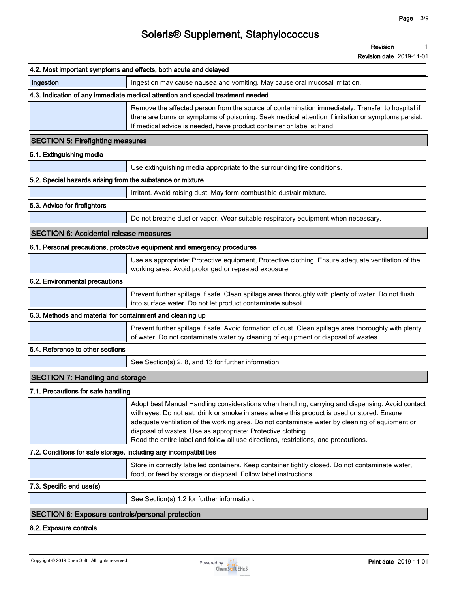**Revision 1**

**Revision date 2019-11-01**

|                                                                   | 4.2. Most important symptoms and effects, both acute and delayed                                                                                                                                                                                                                                                                                                                                                                                        |
|-------------------------------------------------------------------|---------------------------------------------------------------------------------------------------------------------------------------------------------------------------------------------------------------------------------------------------------------------------------------------------------------------------------------------------------------------------------------------------------------------------------------------------------|
| Ingestion                                                         | Ingestion may cause nausea and vomiting. May cause oral mucosal irritation.                                                                                                                                                                                                                                                                                                                                                                             |
|                                                                   | 4.3. Indication of any immediate medical attention and special treatment needed                                                                                                                                                                                                                                                                                                                                                                         |
|                                                                   | Remove the affected person from the source of contamination immediately. Transfer to hospital if<br>there are burns or symptoms of poisoning. Seek medical attention if irritation or symptoms persist.<br>If medical advice is needed, have product container or label at hand.                                                                                                                                                                        |
| <b>SECTION 5: Firefighting measures</b>                           |                                                                                                                                                                                                                                                                                                                                                                                                                                                         |
| 5.1. Extinguishing media                                          |                                                                                                                                                                                                                                                                                                                                                                                                                                                         |
|                                                                   | Use extinguishing media appropriate to the surrounding fire conditions.                                                                                                                                                                                                                                                                                                                                                                                 |
| 5.2. Special hazards arising from the substance or mixture        |                                                                                                                                                                                                                                                                                                                                                                                                                                                         |
|                                                                   | Irritant. Avoid raising dust. May form combustible dust/air mixture.                                                                                                                                                                                                                                                                                                                                                                                    |
| 5.3. Advice for firefighters                                      |                                                                                                                                                                                                                                                                                                                                                                                                                                                         |
|                                                                   | Do not breathe dust or vapor. Wear suitable respiratory equipment when necessary.                                                                                                                                                                                                                                                                                                                                                                       |
| <b>SECTION 6: Accidental release measures</b>                     |                                                                                                                                                                                                                                                                                                                                                                                                                                                         |
|                                                                   | 6.1. Personal precautions, protective equipment and emergency procedures                                                                                                                                                                                                                                                                                                                                                                                |
|                                                                   | Use as appropriate: Protective equipment, Protective clothing. Ensure adequate ventilation of the<br>working area. Avoid prolonged or repeated exposure.                                                                                                                                                                                                                                                                                                |
| 6.2. Environmental precautions                                    |                                                                                                                                                                                                                                                                                                                                                                                                                                                         |
|                                                                   | Prevent further spillage if safe. Clean spillage area thoroughly with plenty of water. Do not flush<br>into surface water. Do not let product contaminate subsoil.                                                                                                                                                                                                                                                                                      |
| 6.3. Methods and material for containment and cleaning up         |                                                                                                                                                                                                                                                                                                                                                                                                                                                         |
|                                                                   | Prevent further spillage if safe. Avoid formation of dust. Clean spillage area thoroughly with plenty<br>of water. Do not contaminate water by cleaning of equipment or disposal of wastes.                                                                                                                                                                                                                                                             |
| 6.4. Reference to other sections                                  |                                                                                                                                                                                                                                                                                                                                                                                                                                                         |
|                                                                   | See Section(s) 2, 8, and 13 for further information.                                                                                                                                                                                                                                                                                                                                                                                                    |
| <b>SECTION 7: Handling and storage</b>                            |                                                                                                                                                                                                                                                                                                                                                                                                                                                         |
| 7.1. Precautions for safe handling                                |                                                                                                                                                                                                                                                                                                                                                                                                                                                         |
|                                                                   | Adopt best Manual Handling considerations when handling, carrying and dispensing. Avoid contact<br>with eyes. Do not eat, drink or smoke in areas where this product is used or stored. Ensure<br>adequate ventilation of the working area. Do not contaminate water by cleaning of equipment or<br>disposal of wastes. Use as appropriate: Protective clothing.<br>Read the entire label and follow all use directions, restrictions, and precautions. |
| 7.2. Conditions for safe storage, including any incompatibilities |                                                                                                                                                                                                                                                                                                                                                                                                                                                         |
|                                                                   | Store in correctly labelled containers. Keep container tightly closed. Do not contaminate water,<br>food, or feed by storage or disposal. Follow label instructions.                                                                                                                                                                                                                                                                                    |
| 7.3. Specific end use(s)                                          |                                                                                                                                                                                                                                                                                                                                                                                                                                                         |
|                                                                   | See Section(s) 1.2 for further information.                                                                                                                                                                                                                                                                                                                                                                                                             |
| <b>SECTION 8: Exposure controls/personal protection</b>           |                                                                                                                                                                                                                                                                                                                                                                                                                                                         |
| 8.2. Exposure controls                                            |                                                                                                                                                                                                                                                                                                                                                                                                                                                         |
|                                                                   |                                                                                                                                                                                                                                                                                                                                                                                                                                                         |

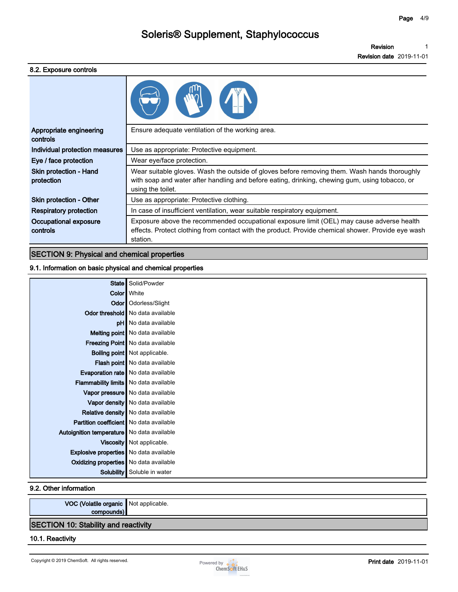## **8.2. Exposure controls**

| Appropriate engineering<br>controls  | Ensure adequate ventilation of the working area.                                                                                                                                                                    |
|--------------------------------------|---------------------------------------------------------------------------------------------------------------------------------------------------------------------------------------------------------------------|
| Individual protection measures       | Use as appropriate: Protective equipment.                                                                                                                                                                           |
| Eye / face protection                | Wear eye/face protection.                                                                                                                                                                                           |
| Skin protection - Hand<br>protection | Wear suitable gloves. Wash the outside of gloves before removing them. Wash hands thoroughly<br>with soap and water after handling and before eating, drinking, chewing gum, using tobacco, or<br>using the toilet. |
| <b>Skin protection - Other</b>       | Use as appropriate: Protective clothing.                                                                                                                                                                            |
| <b>Respiratory protection</b>        | In case of insufficient ventilation, wear suitable respiratory equipment.                                                                                                                                           |
| Occupational exposure<br>controls    | Exposure above the recommended occupational exposure limit (OEL) may cause adverse health<br>effects. Protect clothing from contact with the product. Provide chemical shower. Provide eye wash<br>station.         |

## **SECTION 9: Physical and chemical properties**

#### **9.1. Information on basic physical and chemical properties**

|                                                | State Solid/Powder                        |
|------------------------------------------------|-------------------------------------------|
|                                                | <b>Color</b> White                        |
|                                                | Odor   Odorless/Slight                    |
|                                                | Odor threshold   No data available        |
|                                                | pH No data available                      |
|                                                | Melting point   No data available         |
|                                                | Freezing Point   No data available        |
|                                                | <b>Boiling point</b> Not applicable.      |
|                                                | Flash point   No data available           |
|                                                | <b>Evaporation rate</b> No data available |
| Flammability limits No data available          |                                           |
|                                                | Vapor pressure No data available          |
|                                                | Vapor density No data available           |
|                                                | Relative density   No data available      |
| <b>Partition coefficient</b> No data available |                                           |
| Autoignition temperature   No data available   |                                           |
|                                                | Viscosity   Not applicable.               |
| <b>Explosive properties</b> No data available  |                                           |
| Oxidizing properties No data available         |                                           |
|                                                | Solubility Soluble in water               |

#### **9.2. Other information**

| VOC (Volatile organic Not applicable.       |  |
|---------------------------------------------|--|
| compounds)                                  |  |
| <b>SECTION 10: Stability and reactivity</b> |  |

### **10.1. Reactivity**

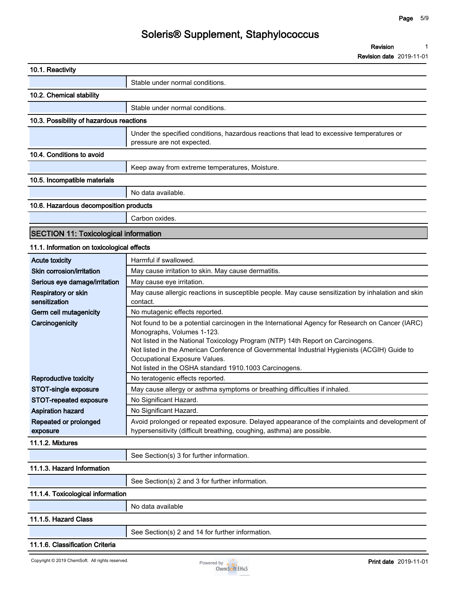**Revision 1**

**Revision date 2019-11-01**

| 10.1. Reactivity                             |                                                                                                                                    |  |  |  |
|----------------------------------------------|------------------------------------------------------------------------------------------------------------------------------------|--|--|--|
|                                              | Stable under normal conditions.                                                                                                    |  |  |  |
| 10.2. Chemical stability                     |                                                                                                                                    |  |  |  |
|                                              | Stable under normal conditions.                                                                                                    |  |  |  |
| 10.3. Possibility of hazardous reactions     |                                                                                                                                    |  |  |  |
|                                              | Under the specified conditions, hazardous reactions that lead to excessive temperatures or<br>pressure are not expected.           |  |  |  |
| 10.4. Conditions to avoid                    |                                                                                                                                    |  |  |  |
|                                              | Keep away from extreme temperatures, Moisture.                                                                                     |  |  |  |
| 10.5. Incompatible materials                 |                                                                                                                                    |  |  |  |
|                                              | No data available.                                                                                                                 |  |  |  |
| 10.6. Hazardous decomposition products       |                                                                                                                                    |  |  |  |
|                                              | Carbon oxides.                                                                                                                     |  |  |  |
|                                              |                                                                                                                                    |  |  |  |
| <b>SECTION 11: Toxicological information</b> |                                                                                                                                    |  |  |  |
| 11.1. Information on toxicological effects   |                                                                                                                                    |  |  |  |
| <b>Acute toxicity</b>                        | Harmful if swallowed.                                                                                                              |  |  |  |
| Skin corrosion/irritation                    | May cause irritation to skin. May cause dermatitis.                                                                                |  |  |  |
| Serious eye damage/irritation                | May cause eye irritation.                                                                                                          |  |  |  |
| Respiratory or skin                          | May cause allergic reactions in susceptible people. May cause sensitization by inhalation and skin                                 |  |  |  |
| sensitization                                | contact.                                                                                                                           |  |  |  |
| Germ cell mutagenicity<br>Carcinogenicity    | No mutagenic effects reported.<br>Not found to be a potential carcinogen in the International Agency for Research on Cancer (IARC) |  |  |  |
|                                              | Monographs, Volumes 1-123.                                                                                                         |  |  |  |
|                                              | Not listed in the National Toxicology Program (NTP) 14th Report on Carcinogens.                                                    |  |  |  |
|                                              | Not listed in the American Conference of Governmental Industrial Hygienists (ACGIH) Guide to                                       |  |  |  |
|                                              | Occupational Exposure Values.<br>Not listed in the OSHA standard 1910.1003 Carcinogens.                                            |  |  |  |
| <b>Reproductive toxicity</b>                 | No teratogenic effects reported.                                                                                                   |  |  |  |
| STOT-single exposure                         | May cause allergy or asthma symptoms or breathing difficulties if inhaled.                                                         |  |  |  |
| STOT-repeated exposure                       | No Significant Hazard.                                                                                                             |  |  |  |
| <b>Aspiration hazard</b>                     | No Significant Hazard.                                                                                                             |  |  |  |
| Repeated or prolonged                        | Avoid prolonged or repeated exposure. Delayed appearance of the complaints and development of                                      |  |  |  |
| exposure                                     | hypersensitivity (difficult breathing, coughing, asthma) are possible.                                                             |  |  |  |
| 11.1.2. Mixtures                             |                                                                                                                                    |  |  |  |
|                                              | See Section(s) 3 for further information.                                                                                          |  |  |  |
| 11.1.3. Hazard Information                   |                                                                                                                                    |  |  |  |
|                                              | See Section(s) 2 and 3 for further information.                                                                                    |  |  |  |
| 11.1.4. Toxicological information            |                                                                                                                                    |  |  |  |
|                                              | No data available                                                                                                                  |  |  |  |
| 11.1.5. Hazard Class                         |                                                                                                                                    |  |  |  |
|                                              | See Section(s) 2 and 14 for further information.                                                                                   |  |  |  |
| 11.1.6. Classification Criteria              |                                                                                                                                    |  |  |  |
|                                              |                                                                                                                                    |  |  |  |

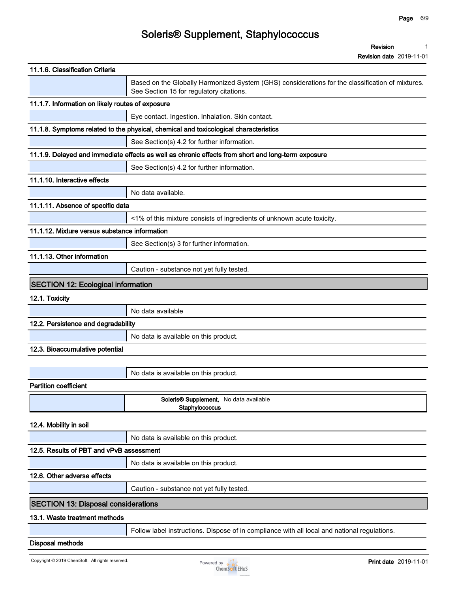**Revision 1**

| 11.1.6. Classification Criteria                  |                                                                                                                                              |
|--------------------------------------------------|----------------------------------------------------------------------------------------------------------------------------------------------|
|                                                  | Based on the Globally Harmonized System (GHS) considerations for the classification of mixtures.<br>See Section 15 for regulatory citations. |
| 11.1.7. Information on likely routes of exposure |                                                                                                                                              |
|                                                  | Eye contact. Ingestion. Inhalation. Skin contact.                                                                                            |
|                                                  | 11.1.8. Symptoms related to the physical, chemical and toxicological characteristics                                                         |
|                                                  | See Section(s) 4.2 for further information.                                                                                                  |
|                                                  | 11.1.9. Delayed and immediate effects as well as chronic effects from short and long-term exposure                                           |
|                                                  | See Section(s) 4.2 for further information.                                                                                                  |
| 11.1.10. Interactive effects                     |                                                                                                                                              |
|                                                  | No data available.                                                                                                                           |
| 11.1.11. Absence of specific data                |                                                                                                                                              |
|                                                  | <1% of this mixture consists of ingredients of unknown acute toxicity.                                                                       |
| 11.1.12. Mixture versus substance information    |                                                                                                                                              |
|                                                  | See Section(s) 3 for further information.                                                                                                    |
| 11.1.13. Other information                       |                                                                                                                                              |
|                                                  | Caution - substance not yet fully tested.                                                                                                    |
| <b>SECTION 12: Ecological information</b>        |                                                                                                                                              |
| 12.1. Toxicity                                   |                                                                                                                                              |
|                                                  | No data available                                                                                                                            |
| 12.2. Persistence and degradability              |                                                                                                                                              |
|                                                  | No data is available on this product.                                                                                                        |
| 12.3. Bioaccumulative potential                  |                                                                                                                                              |
|                                                  |                                                                                                                                              |
|                                                  | No data is available on this product.                                                                                                        |
| <b>Partition coefficient</b>                     |                                                                                                                                              |
|                                                  | Soleris® Supplement, No data available<br>Staphylococcus                                                                                     |
| 12.4. Mobility in soil                           |                                                                                                                                              |
|                                                  | No data is available on this product.                                                                                                        |
| 12.5. Results of PBT and vPvB assessment         |                                                                                                                                              |
|                                                  | No data is available on this product.                                                                                                        |
| 12.6. Other adverse effects                      |                                                                                                                                              |
|                                                  | Caution - substance not yet fully tested.                                                                                                    |
| <b>SECTION 13: Disposal considerations</b>       |                                                                                                                                              |
| 13.1. Waste treatment methods                    |                                                                                                                                              |
|                                                  | Follow label instructions. Dispose of in compliance with all local and national regulations.                                                 |
| <b>Disposal methods</b>                          |                                                                                                                                              |

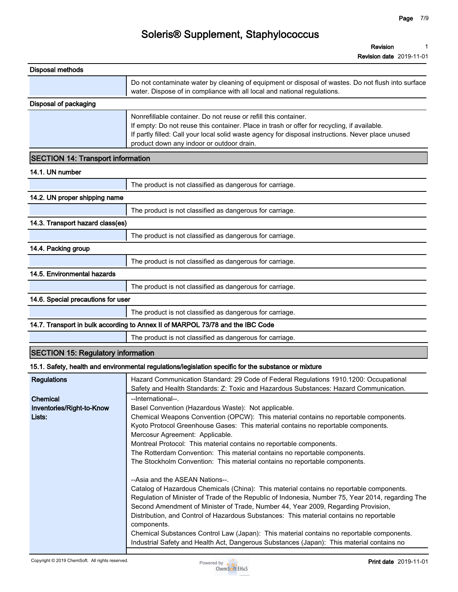**Revision 1**

**Revision date 2019-11-01**

| Disposal methods                                |                                                                                                                                                                                                                                                                                                                                                                                                                                                                                                                                                                 |
|-------------------------------------------------|-----------------------------------------------------------------------------------------------------------------------------------------------------------------------------------------------------------------------------------------------------------------------------------------------------------------------------------------------------------------------------------------------------------------------------------------------------------------------------------------------------------------------------------------------------------------|
|                                                 | Do not contaminate water by cleaning of equipment or disposal of wastes. Do not flush into surface<br>water. Dispose of in compliance with all local and national regulations.                                                                                                                                                                                                                                                                                                                                                                                  |
| <b>Disposal of packaging</b>                    |                                                                                                                                                                                                                                                                                                                                                                                                                                                                                                                                                                 |
|                                                 | Nonrefillable container. Do not reuse or refill this container.<br>If empty: Do not reuse this container. Place in trash or offer for recycling, if available.<br>If partly filled: Call your local solid waste agency for disposal instructions. Never place unused<br>product down any indoor or outdoor drain.                                                                                                                                                                                                                                               |
| <b>SECTION 14: Transport information</b>        |                                                                                                                                                                                                                                                                                                                                                                                                                                                                                                                                                                 |
| 14.1. UN number                                 |                                                                                                                                                                                                                                                                                                                                                                                                                                                                                                                                                                 |
|                                                 | The product is not classified as dangerous for carriage.                                                                                                                                                                                                                                                                                                                                                                                                                                                                                                        |
| 14.2. UN proper shipping name                   |                                                                                                                                                                                                                                                                                                                                                                                                                                                                                                                                                                 |
|                                                 | The product is not classified as dangerous for carriage.                                                                                                                                                                                                                                                                                                                                                                                                                                                                                                        |
| 14.3. Transport hazard class(es)                |                                                                                                                                                                                                                                                                                                                                                                                                                                                                                                                                                                 |
|                                                 | The product is not classified as dangerous for carriage.                                                                                                                                                                                                                                                                                                                                                                                                                                                                                                        |
| 14.4. Packing group                             |                                                                                                                                                                                                                                                                                                                                                                                                                                                                                                                                                                 |
|                                                 | The product is not classified as dangerous for carriage.                                                                                                                                                                                                                                                                                                                                                                                                                                                                                                        |
| 14.5. Environmental hazards                     |                                                                                                                                                                                                                                                                                                                                                                                                                                                                                                                                                                 |
|                                                 | The product is not classified as dangerous for carriage.                                                                                                                                                                                                                                                                                                                                                                                                                                                                                                        |
| 14.6. Special precautions for user              |                                                                                                                                                                                                                                                                                                                                                                                                                                                                                                                                                                 |
|                                                 | The product is not classified as dangerous for carriage.                                                                                                                                                                                                                                                                                                                                                                                                                                                                                                        |
|                                                 | 14.7. Transport in bulk according to Annex II of MARPOL 73/78 and the IBC Code                                                                                                                                                                                                                                                                                                                                                                                                                                                                                  |
|                                                 | The product is not classified as dangerous for carriage.                                                                                                                                                                                                                                                                                                                                                                                                                                                                                                        |
| <b>SECTION 15: Regulatory information</b>       |                                                                                                                                                                                                                                                                                                                                                                                                                                                                                                                                                                 |
|                                                 | 15.1. Safety, health and environmental regulations/legislation specific for the substance or mixture                                                                                                                                                                                                                                                                                                                                                                                                                                                            |
| <b>Regulations</b>                              | Hazard Communication Standard: 29 Code of Federal Regulations 1910.1200: Occupational<br>Safety and Health Standards: Z: Toxic and Hazardous Substances: Hazard Communication.                                                                                                                                                                                                                                                                                                                                                                                  |
| Chemical<br>Inventories/Right-to-Know<br>Lists: | --International--.<br>Basel Convention (Hazardous Waste): Not applicable.<br>Chemical Weapons Convention (OPCW): This material contains no reportable components.<br>Kyoto Protocol Greenhouse Gases: This material contains no reportable components.<br>Mercosur Agreement: Applicable.<br>Montreal Protocol: This material contains no reportable components.<br>The Rotterdam Convention: This material contains no reportable components.<br>The Stockholm Convention: This material contains no reportable components.<br>--Asia and the ASEAN Nations--. |
|                                                 | Catalog of Hazardous Chemicals (China): This material contains no reportable components.<br>Regulation of Minister of Trade of the Republic of Indonesia, Number 75, Year 2014, regarding The                                                                                                                                                                                                                                                                                                                                                                   |

**components.**



**Second Amendment of Minister of Trade, Number 44, Year 2009, Regarding Provision, Distribution, and Control of Hazardous Substances: This material contains no reportable** 

**Chemical Substances Control Law (Japan): This material contains no reportable components. Industrial Safety and Health Act, Dangerous Substances (Japan): This material contains no**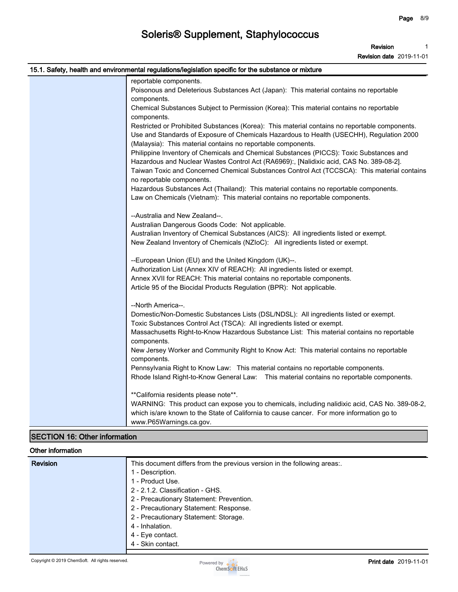**Revision date 2019-11-01**

### **15.1. Safety, health and environmental regulations/legislation specific for the substance or mixture**

| готт оагогд тюаан ана онтногителан годинаалгагодонаалг ороонго гог аго оавоангоо ог тилааго    |
|------------------------------------------------------------------------------------------------|
| reportable components.                                                                         |
| Poisonous and Deleterious Substances Act (Japan): This material contains no reportable         |
| components.                                                                                    |
| Chemical Substances Subject to Permission (Korea): This material contains no reportable        |
| components.                                                                                    |
| Restricted or Prohibited Substances (Korea): This material contains no reportable components.  |
| Use and Standards of Exposure of Chemicals Hazardous to Health (USECHH), Regulation 2000       |
| (Malaysia): This material contains no reportable components.                                   |
| Philippine Inventory of Chemicals and Chemical Substances (PICCS): Toxic Substances and        |
| Hazardous and Nuclear Wastes Control Act (RA6969):, [Nalidixic acid, CAS No. 389-08-2].        |
| Taiwan Toxic and Concerned Chemical Substances Control Act (TCCSCA): This material contains    |
| no reportable components.                                                                      |
| Hazardous Substances Act (Thailand): This material contains no reportable components.          |
| Law on Chemicals (Vietnam): This material contains no reportable components.                   |
| --Australia and New Zealand--.                                                                 |
| Australian Dangerous Goods Code: Not applicable.                                               |
| Australian Inventory of Chemical Substances (AICS): All ingredients listed or exempt.          |
| New Zealand Inventory of Chemicals (NZIoC): All ingredients listed or exempt.                  |
|                                                                                                |
| --European Union (EU) and the United Kingdom (UK)--.                                           |
| Authorization List (Annex XIV of REACH): All ingredients listed or exempt.                     |
| Annex XVII for REACH: This material contains no reportable components.                         |
| Article 95 of the Biocidal Products Regulation (BPR): Not applicable.                          |
|                                                                                                |
| --North America--.                                                                             |
| Domestic/Non-Domestic Substances Lists (DSL/NDSL): All ingredients listed or exempt.           |
| Toxic Substances Control Act (TSCA): All ingredients listed or exempt.                         |
| Massachusetts Right-to-Know Hazardous Substance List: This material contains no reportable     |
| components.                                                                                    |
| New Jersey Worker and Community Right to Know Act: This material contains no reportable        |
| components.                                                                                    |
| Pennsylvania Right to Know Law: This material contains no reportable components.               |
| Rhode Island Right-to-Know General Law: This material contains no reportable components.       |
|                                                                                                |
| ** California residents please note**.                                                         |
| WARNING: This product can expose you to chemicals, including nalidixic acid, CAS No. 389-08-2, |
| which is/are known to the State of California to cause cancer. For more information go to      |
| www.P65Warnings.ca.gov.                                                                        |

## **SECTION 16: Other information**

#### **Other information**

| <b>Revision</b> | This document differs from the previous version in the following areas:. |
|-----------------|--------------------------------------------------------------------------|
|                 | - Description.                                                           |
|                 | 1 - Product Use.                                                         |
|                 | 2 - 2.1.2. Classification - GHS.                                         |
|                 | 2 - Precautionary Statement: Prevention.                                 |
|                 | 2 - Precautionary Statement: Response.                                   |
|                 | 2 - Precautionary Statement: Storage.                                    |
|                 | 4 - Inhalation.                                                          |
|                 | 4 - Eye contact.                                                         |
|                 | 4 - Skin contact.                                                        |
|                 |                                                                          |